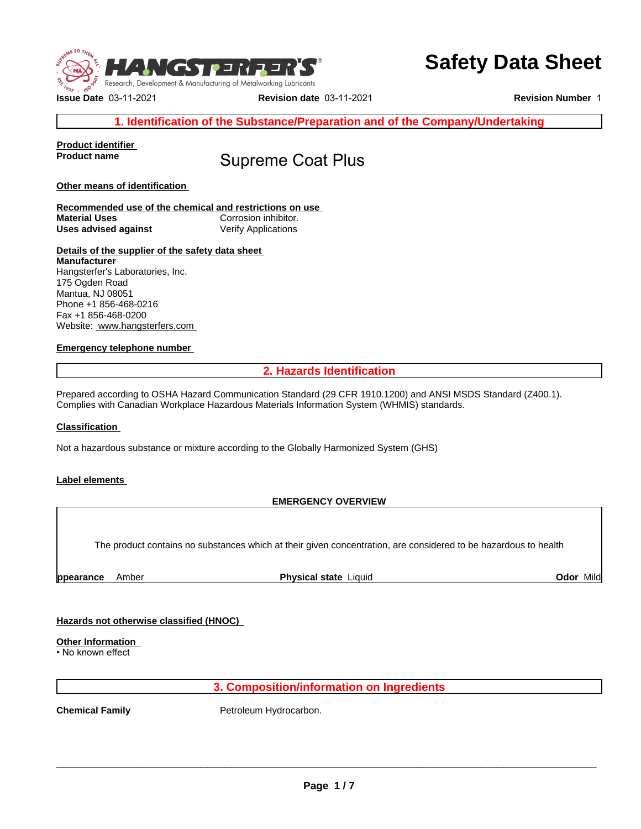

**Issue Date** 03-11-2021 **Revision date** 03-11-2021 **Revision Number** 1

# **Safety Data Sheet**

**Product identifier** 

# **Supreme Coat Plus**

**Other means of identification** 

**Recommended use of the chemical and restrictions on use Material Uses** Corrosion inhibitor. **Uses advised against Verify Applications** 

### **Details of the supplier of the safety data sheet Manufacturer** Hangsterfer's Laboratories, Inc. 175 Ogden Road Mantua, NJ 08051 Phone +1 856-468-0216 Fax +1 856-468-0200 Website: www.hangsterfers.com

## **Emergency telephone number**

**2. Hazards Identification<br>
Elications<br>
2. Hazards Identification<br>
2. Hazards Identification<br>
2. Hazards Information System (WHMIS) standards.<br>
2. Hazards Information System (WHMIS) standards.** Prepared according to OSHA Hazard Communication Standard (29 CFR 1910.1200) and ANSI MSDS Standard (Z400.1). Complies with Canadian Workplace Hazardous Materials Information System (WHMIS) standards.

### **Classification**

Not a hazardous substance or mixture according to the Globally Harmonized System (GHS)

### **Label elements**

## **EMERGENCY OVERVIEW**

**Examples 12. Composition and Series 12. Composition on Ingredients**<br> **3. Composition/information on Ingredients**<br>
Petroleum Hydrocarbon. The product contains no substances which at their given concentration, are considered to be hazardous to health

\$**ppearance** Amber **Physical state** Liquid **Odor** Mild

## **Hazards not otherwise classified (HNOC)**

# **Other Information**

• No known effect

**Chemical Family Petroleum Hydrocarbon.**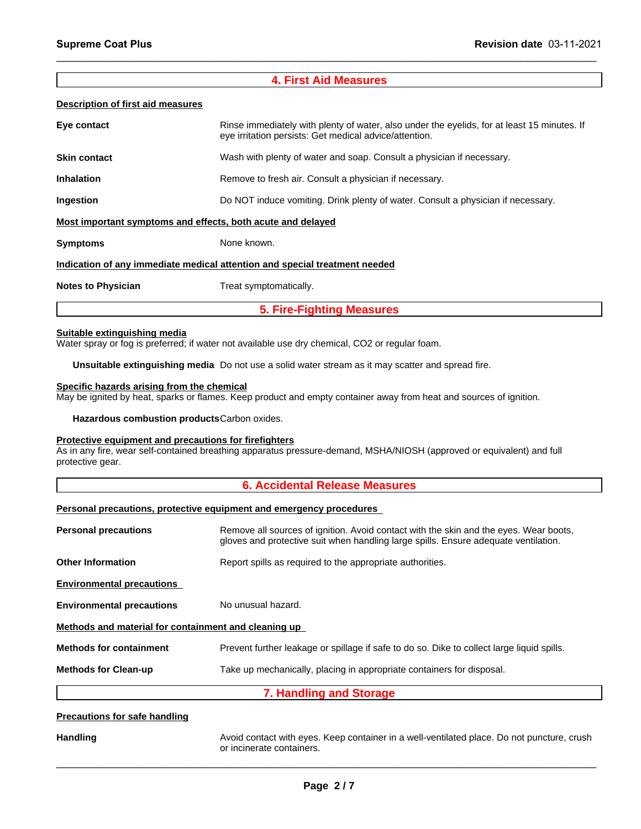$\_$  ,  $\_$  ,  $\_$  ,  $\_$  ,  $\_$  ,  $\_$  ,  $\_$  ,  $\_$  ,  $\_$  ,  $\_$  ,  $\_$  ,  $\_$  ,  $\_$  ,  $\_$  ,  $\_$  ,  $\_$  ,  $\_$  ,  $\_$  ,  $\_$  ,  $\_$  ,  $\_$  ,  $\_$  ,  $\_$  ,  $\_$  ,  $\_$  ,  $\_$  ,  $\_$  ,  $\_$  ,  $\_$  ,  $\_$  ,  $\_$  ,  $\_$  ,  $\_$  ,  $\_$  ,  $\_$  ,  $\_$  ,  $\_$  ,

### **Description of first aid measures**

| <b>Supreme Coat Plus</b>                 | <b>Revision date 03-11-2021</b>                                                                                                                       |
|------------------------------------------|-------------------------------------------------------------------------------------------------------------------------------------------------------|
|                                          |                                                                                                                                                       |
|                                          | <b>4. First Aid Measures</b>                                                                                                                          |
| <b>Description of first aid measures</b> |                                                                                                                                                       |
| Eye contact                              | Rinse immediately with plenty of water, also under the eyelids, for at least 15 minutes. If<br>eye irritation persists: Get medical advice/attention. |
| <b>Skin contact</b>                      | Wash with plenty of water and soap. Consult a physician if necessary.                                                                                 |
| <b>Inhalation</b>                        | Remove to fresh air. Consult a physician if necessary.                                                                                                |
| Ingestion                                | Do NOT induce vomiting. Drink plenty of water. Consult a physician if necessary.                                                                      |
|                                          | Most important symptoms and effects, both acute and delayed                                                                                           |
| <b>Symptoms</b>                          | None known.                                                                                                                                           |
|                                          | Indication of any immediate medical attention and special treatment needed                                                                            |
|                                          | Treat symptomatically.                                                                                                                                |
| <b>Notes to Physician</b>                |                                                                                                                                                       |

### **Suitable extinguishing media**

**Unsuitable extinguishing media** Do not use a solid water stream as it may scatter and spread fire.

### **Specific hazards arising from the chemical**

May be ignited by heat, sparks or flames. Keep product and empty container away from heat and sources of ignition.

**Hazardous combustion products**Carbon oxides.

### **Protective equipment and precautions for firefighters**

As in any fire, wear self-contained breathing apparatus pressure-demand, MSHA/NIOSH (approved or equivalent) and full protective gear. **5. Fire-Fighting Measures**<br>
vailable use dry chemical, CO2 or regular foam.<br>
of the a solid water stream as it may scatter and spread fire.<br>
<u>Il</u><br>
ep product and empty container away from heat and sources of ignition<br>
on

### **Personal precautions, protective equipment and emergency procedures**

|                                                      | r ordonar productiono, protootivo oquipmont unu omorgonoy prodouuroo                                                                                                         |
|------------------------------------------------------|------------------------------------------------------------------------------------------------------------------------------------------------------------------------------|
| <b>Personal precautions</b>                          | Remove all sources of ignition. Avoid contact with the skin and the eyes. Wear boots,<br>gloves and protective suit when handling large spills. Ensure adequate ventilation. |
| <b>Other Information</b>                             | Report spills as required to the appropriate authorities.                                                                                                                    |
| <b>Environmental precautions</b>                     |                                                                                                                                                                              |
| <b>Environmental precautions</b>                     | No unusual hazard.                                                                                                                                                           |
| Methods and material for containment and cleaning up |                                                                                                                                                                              |
| <b>Methods for containment</b>                       | Prevent further leakage or spillage if safe to do so. Dike to collect large liquid spills.                                                                                   |
| <b>Methods for Clean-up</b>                          | Take up mechanically, placing in appropriate containers for disposal.                                                                                                        |
|                                                      | 7. Handling and Storage                                                                                                                                                      |
| <b>Precautions for safe handling</b>                 |                                                                                                                                                                              |
| Handling                                             | Avoid contact with eves. Keep container in a well-ventilated place. Do not puncture, crush                                                                                   |

### **Precautions for safe handling**

Handling **Avoid contact with eyes. Keep container in a well-ventilated place. Do not puncture, crush contact with eyes. Keep container in a well-ventilated place. Do not puncture, crush** or incinerate containers.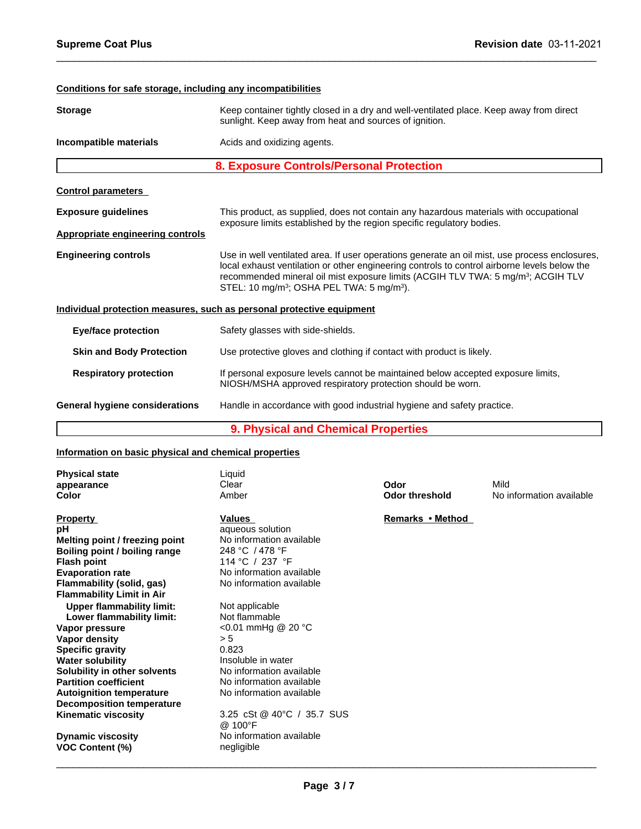# **Conditions for safe storage, including any incompatibilities Storage** Keep container tightly closed in a dry and well-ventilated place. Keep away from direct sunlight. Keep away from heat and sources of ignition. **Incompatible materials Acids and oxidizing agents. 8. Exposure Continer times and Sources of ignition.**<br> **8. Exposure Controls/Personal Protection**<br> **8. Exposure Controls/Personal Protection**<br>
This product as supplied, does not contain any bazardous materials with occupat **Control parameters Exposure guidelines** This product, as supplied, does not contain any hazardous materials with occupational exposure limits established by the region specific regulatory bodies. **Appropriate engineering controls Engineering controls** Use in well ventilated area. If user operations generate an oil mist, use process enclosures, local exhaust ventilation or other engineering controls to control airborne levels below the recommended mineral oil mist exposure limits (ACGIH TLV TWA: 5 mg/m<sup>3</sup> ; ACGIH TLV STEL: 10 mg/m<sup>3</sup> ; OSHA PEL TWA: 5 mg/m<sup>3</sup> ). **Individual protection measures, such as personal protective equipment Eye/face protection** Safety glasses with side-shields. **Skin and Body Protection** Use protective gloves and clothing if contact with product is likely. Respiratory protection **If personal exposure levels cannot be maintained below accepted exposure limits,** NIOSH/MSHA approved respiratory protection should be worn. **General hygiene considerations** Handle in accordance with good industrial hygiene and safety practice. ie in well ventilated area. If user operations generate an oil mist, use process<br>cal exhaust ventilation or other engineering controls to control airborne levels<br>commended mineral oil mist exposure limits (ACGIH TLV TWA: 5

 $\_$  ,  $\_$  ,  $\_$  ,  $\_$  ,  $\_$  ,  $\_$  ,  $\_$  ,  $\_$  ,  $\_$  ,  $\_$  ,  $\_$  ,  $\_$  ,  $\_$  ,  $\_$  ,  $\_$  ,  $\_$  ,  $\_$  ,  $\_$  ,  $\_$  ,  $\_$  ,  $\_$  ,  $\_$  ,  $\_$  ,  $\_$  ,  $\_$  ,  $\_$  ,  $\_$  ,  $\_$  ,  $\_$  ,  $\_$  ,  $\_$  ,  $\_$  ,  $\_$  ,  $\_$  ,  $\_$  ,  $\_$  ,  $\_$  ,

### **Information on basic physical and chemical properties**

| <b>Physical state</b><br>appearance<br><b>Color</b> | Liquid<br>Clear<br>Amber              | Odor<br><b>Odor threshold</b> | Mild<br>No information available |
|-----------------------------------------------------|---------------------------------------|-------------------------------|----------------------------------|
| <b>Property</b>                                     | Values                                | Remarks • Method              |                                  |
| рH                                                  | aqueous solution                      |                               |                                  |
| Melting point / freezing point                      | No information available              |                               |                                  |
|                                                     | 248 °C / 478 °F                       |                               |                                  |
| Boiling point / boiling range                       | 114 °C / 237 °F                       |                               |                                  |
| <b>Flash point</b>                                  | No information available              |                               |                                  |
| <b>Evaporation rate</b>                             |                                       |                               |                                  |
| Flammability (solid, gas)                           | No information available              |                               |                                  |
| <b>Flammability Limit in Air</b>                    |                                       |                               |                                  |
| <b>Upper flammability limit:</b>                    | Not applicable                        |                               |                                  |
| Lower flammability limit:                           | Not flammable                         |                               |                                  |
| Vapor pressure                                      | <0.01 mmHg @ 20 °C                    |                               |                                  |
| Vapor density                                       | > 5                                   |                               |                                  |
| <b>Specific gravity</b>                             | 0.823                                 |                               |                                  |
| <b>Water solubility</b>                             | Insoluble in water                    |                               |                                  |
| Solubility in other solvents                        | No information available              |                               |                                  |
| <b>Partition coefficient</b>                        | No information available              |                               |                                  |
| <b>Autoignition temperature</b>                     | No information available              |                               |                                  |
| <b>Decomposition temperature</b>                    |                                       |                               |                                  |
| <b>Kinematic viscosity</b>                          | 3.25 cSt @ 40°C / 35.7 SUS<br>@ 100°F |                               |                                  |
| <b>Dynamic viscosity</b>                            | No information available              |                               |                                  |
| <b>VOC Content (%)</b>                              | negligible                            |                               |                                  |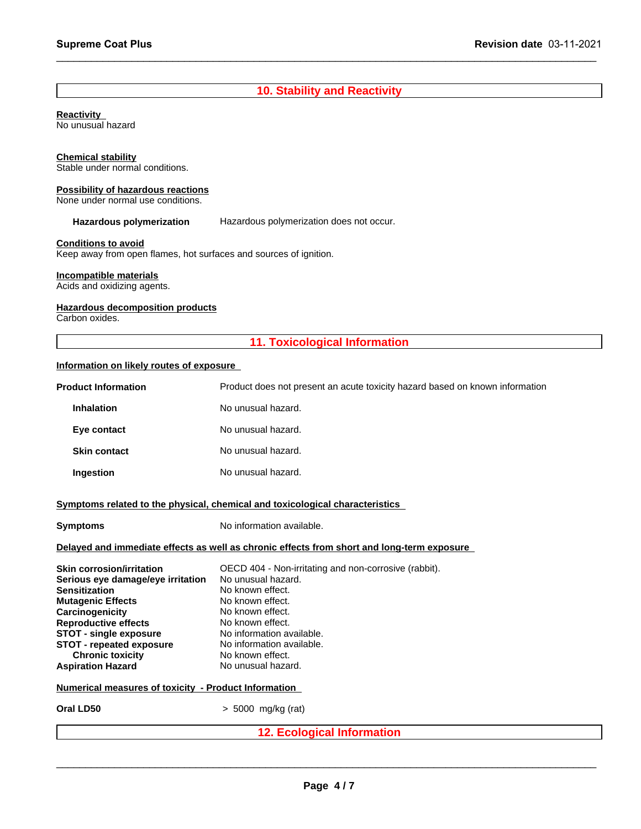# **Revision (**<br> **10. Stability and Reactivity**

 $\_$  ,  $\_$  ,  $\_$  ,  $\_$  ,  $\_$  ,  $\_$  ,  $\_$  ,  $\_$  ,  $\_$  ,  $\_$  ,  $\_$  ,  $\_$  ,  $\_$  ,  $\_$  ,  $\_$  ,  $\_$  ,  $\_$  ,  $\_$  ,  $\_$  ,  $\_$  ,  $\_$  ,  $\_$  ,  $\_$  ,  $\_$  ,  $\_$  ,  $\_$  ,  $\_$  ,  $\_$  ,  $\_$  ,  $\_$  ,  $\_$  ,  $\_$  ,  $\_$  ,  $\_$  ,  $\_$  ,  $\_$  ,  $\_$  ,

**Reactivity** 

No unusual hazard

### **Chemical stability**

# **Possibility of hazardous reactions**

### **Conditions to avoid**

## **Incompatible materials**

### **Hazardous decomposition products**

### **Information on likely routes of exposure**

| Stable under normal conditions.                                                                 |                                                                                            |
|-------------------------------------------------------------------------------------------------|--------------------------------------------------------------------------------------------|
| <b>Possibility of hazardous reactions</b><br>None under normal use conditions.                  |                                                                                            |
| Hazardous polymerization                                                                        | Hazardous polymerization does not occur.                                                   |
| <b>Conditions to avoid</b><br>Keep away from open flames, hot surfaces and sources of ignition. |                                                                                            |
| Incompatible materials<br>Acids and oxidizing agents.                                           |                                                                                            |
| <b>Hazardous decomposition products</b><br>Carbon oxides.                                       |                                                                                            |
|                                                                                                 | <b>11. Toxicological Information</b>                                                       |
| Information on likely routes of exposure                                                        |                                                                                            |
| <b>Product Information</b>                                                                      | Product does not present an acute toxicity hazard based on known information               |
| <b>Inhalation</b>                                                                               | No unusual hazard.                                                                         |
| Eye contact                                                                                     | No unusual hazard.                                                                         |
| <b>Skin contact</b>                                                                             | No unusual hazard.                                                                         |
| Ingestion                                                                                       | No unusual hazard.                                                                         |
|                                                                                                 | Symptoms related to the physical, chemical and toxicological characteristics               |
| <b>Symptoms</b>                                                                                 | No information available.                                                                  |
|                                                                                                 | Delayed and immediate effects as well as chronic effects from short and long-term exposure |
| <b>Skin corrosion/irritation</b>                                                                | OECD 404 - Non-irritating and non-corrosive (rabbit).                                      |
| Serious eye damage/eye irritation<br><b>Sensitization</b>                                       | No unusual hazard.<br>No known effect.                                                     |
| <b>Mutagenic Effects</b>                                                                        | No known effect.                                                                           |
| Carcinogenicity                                                                                 | No known effect.                                                                           |
| <b>Reproductive effects</b>                                                                     | No known effect.                                                                           |
| <b>STOT - single exposure</b>                                                                   | No information available.                                                                  |
| <b>STOT - repeated exposure</b>                                                                 | No information available.                                                                  |
|                                                                                                 | No known effect.                                                                           |
| <b>Chronic toxicity</b>                                                                         | No unusual hazard.                                                                         |
|                                                                                                 |                                                                                            |
|                                                                                                 |                                                                                            |
| <b>Aspiration Hazard</b><br>Numerical measures of toxicity - Product Information<br>Oral LD50   | > 5000 mg/kg (rat)                                                                         |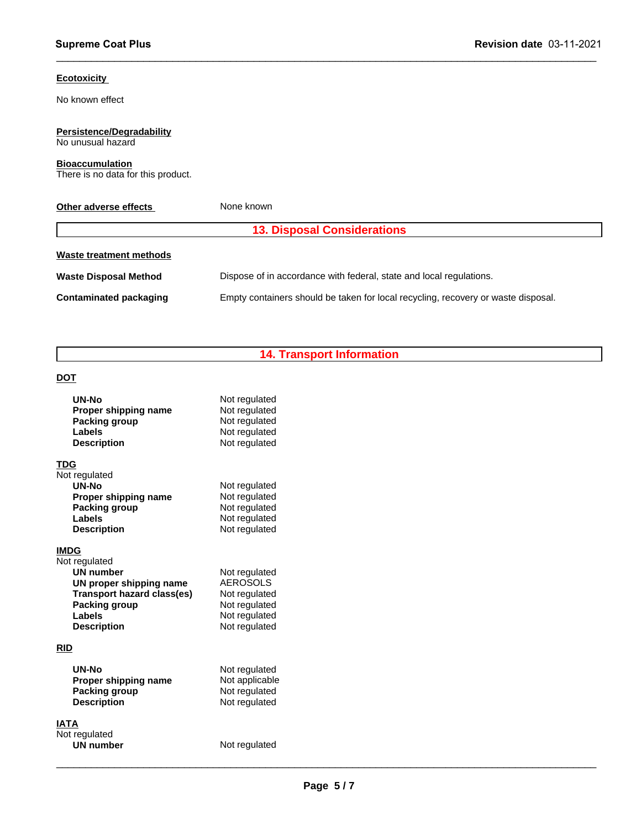### **Ecotoxicity**

# **Persistence/Degradability**

### **Bioaccumulation**

| <b>Ecotoxicity</b>                                           |                                                                                   |
|--------------------------------------------------------------|-----------------------------------------------------------------------------------|
| No known effect                                              |                                                                                   |
| <b>Persistence/Degradability</b><br>No unusual hazard        |                                                                                   |
| <b>Bioaccumulation</b><br>There is no data for this product. |                                                                                   |
| Other adverse effects                                        | None known                                                                        |
|                                                              | <b>13. Disposal Considerations</b>                                                |
| <b>Waste treatment methods</b>                               |                                                                                   |
| <b>Waste Disposal Method</b>                                 | Dispose of in accordance with federal, state and local regulations.               |
| <b>Contaminated packaging</b>                                | Empty containers should be taken for local recycling, recovery or waste disposal. |
|                                                              | <b>14. Transport Information</b>                                                  |
| <b>DOT</b>                                                   |                                                                                   |
| <b>UN-No</b>                                                 | Not regulated                                                                     |

 $\_$  ,  $\_$  ,  $\_$  ,  $\_$  ,  $\_$  ,  $\_$  ,  $\_$  ,  $\_$  ,  $\_$  ,  $\_$  ,  $\_$  ,  $\_$  ,  $\_$  ,  $\_$  ,  $\_$  ,  $\_$  ,  $\_$  ,  $\_$  ,  $\_$  ,  $\_$  ,  $\_$  ,  $\_$  ,  $\_$  ,  $\_$  ,  $\_$  ,  $\_$  ,  $\_$  ,  $\_$  ,  $\_$  ,  $\_$  ,  $\_$  ,  $\_$  ,  $\_$  ,  $\_$  ,  $\_$  ,  $\_$  ,  $\_$  ,

## **DOT**

|      | <b>UN-No</b><br>Proper shipping name<br>Packing group<br>Labels<br><b>Description</b>                                                       | Not regulated<br>Not regulated<br>Not regulated<br>Not regulated<br>Not regulated                    |
|------|---------------------------------------------------------------------------------------------------------------------------------------------|------------------------------------------------------------------------------------------------------|
| TDG  | Not regulated<br>UN-No<br>Proper shipping name<br>Packing group<br>Labels<br><b>Description</b>                                             | Not regulated<br>Not regulated<br>Not regulated<br>Not regulated<br>Not regulated                    |
| IMDG | Not regulated<br><b>UN number</b><br>UN proper shipping name<br>Transport hazard class(es)<br>Packing group<br>Labels<br><b>Description</b> | Not regulated<br><b>AEROSOLS</b><br>Not regulated<br>Not regulated<br>Not regulated<br>Not regulated |
| RID  | UN-No<br>Proper shipping name<br>Packing group<br><b>Description</b>                                                                        | Not regulated<br>Not applicable<br>Not regulated<br>Not regulated                                    |
| IATA | Not regulated<br><b>UN number</b>                                                                                                           | Not regulated                                                                                        |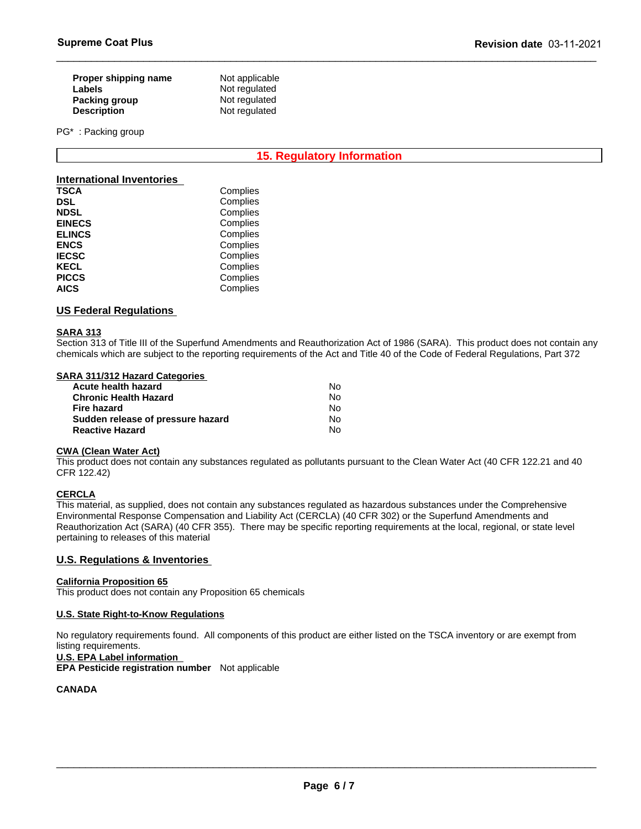| Proper shipping name | Not applicable |
|----------------------|----------------|
| <b>Labels</b>        | Not regulated  |
| Packing group        | Not regulated  |
| <b>Description</b>   | Not regulated  |

PG\* : Packing group

# **15. Regulatory Information<br>
Pately Servision data (a)**<br> **15. Regulatory Information**

 $\_$  ,  $\_$  ,  $\_$  ,  $\_$  ,  $\_$  ,  $\_$  ,  $\_$  ,  $\_$  ,  $\_$  ,  $\_$  ,  $\_$  ,  $\_$  ,  $\_$  ,  $\_$  ,  $\_$  ,  $\_$  ,  $\_$  ,  $\_$  ,  $\_$  ,  $\_$  ,  $\_$  ,  $\_$  ,  $\_$  ,  $\_$  ,  $\_$  ,  $\_$  ,  $\_$  ,  $\_$  ,  $\_$  ,  $\_$  ,  $\_$  ,  $\_$  ,  $\_$  ,  $\_$  ,  $\_$  ,  $\_$  ,  $\_$  ,

### **International Inventories**

| <b>TSCA</b>   | Complies |
|---------------|----------|
| <b>DSL</b>    | Complies |
| <b>NDSL</b>   | Complies |
| <b>EINECS</b> | Complies |
| <b>ELINCS</b> | Complies |
| <b>ENCS</b>   | Complies |
| <b>IECSC</b>  | Complies |
| <b>KECL</b>   | Complies |
| <b>PICCS</b>  | Complies |
| <b>AICS</b>   | Complies |

### **US Federal Regulations**

### **SARA 313**

Section 313 of Title III of the Superfund Amendments and Reauthorization Act of 1986 (SARA). This product does not contain any chemicals which are subject to the reporting requirements of the Act and Title 40 of the Code of Federal Regulations, Part 372

### **SARA 311/312 Hazard Categories**

| Acute health hazard               | No. |
|-----------------------------------|-----|
| <b>Chronic Health Hazard</b>      | No. |
| Fire hazard                       | No. |
| Sudden release of pressure hazard | Nο  |
| <b>Reactive Hazard</b>            | No. |

### **CWA (Clean Water Act)**

This product does not contain any substances regulated as pollutants pursuant to the Clean Water Act (40 CFR 122.21 and 40 CFR 122.42)

### **CERCLA**

This material, as supplied, does not contain any substances regulated as hazardous substances under the Comprehensive Environmental Response Compensation and Liability Act (CERCLA) (40 CFR 302) or the Superfund Amendments and Reauthorization Act (SARA) (40 CFR 355). There may be specific reporting requirements at the local, regional, or state level pertaining to releases of this material

### **U.S. Regulations & Inventories**

### **California Proposition 65**

This product does not contain any Proposition 65 chemicals

### **U.S. State Right-to-Know Regulations**

No regulatory requirements found. All components of this product are either listed on the TSCA inventory or are exempt from listing requirements.

### **U.S. EPA Label information**

**EPA Pesticide registration number** Not applicable

### **CANADA**